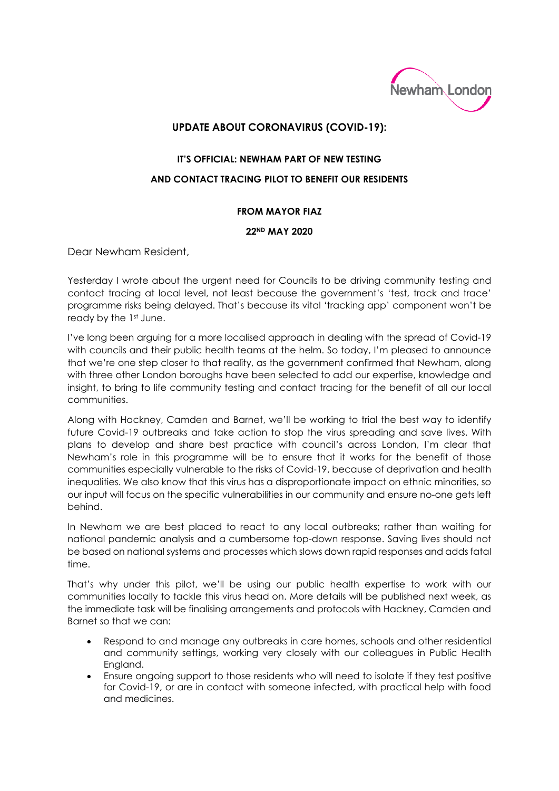

## **UPDATE ABOUT CORONAVIRUS (COVID-19):**

## **IT'S OFFICIAL: NEWHAM PART OF NEW TESTING AND CONTACT TRACING PILOT TO BENEFIT OUR RESIDENTS**

## **FROM MAYOR FIAZ**

## **22ND MAY 2020**

Dear Newham Resident,

Yesterday I wrote about the urgent need for Councils to be driving community testing and contact tracing at local level, not least because the government's 'test, track and trace' programme risks being delayed. That's because its vital 'tracking app' component won't be ready by the 1st June.

I've long been arguing for a more localised approach in dealing with the spread of Covid-19 with councils and their public health teams at the helm. So today, I'm pleased to announce that we're one step closer to that reality, as the government confirmed that Newham, along with three other London boroughs have been selected to add our expertise, knowledge and insight, to bring to life community testing and contact tracing for the benefit of all our local communities.

Along with Hackney, Camden and Barnet, we'll be working to trial the best way to identify future Covid-19 outbreaks and take action to stop the virus spreading and save lives. With plans to develop and share best practice with council's across London, I'm clear that Newham's role in this programme will be to ensure that it works for the benefit of those communities especially vulnerable to the risks of Covid-19, because of deprivation and health inequalities. We also know that this virus has a disproportionate impact on ethnic minorities, so our input will focus on the specific vulnerabilities in our community and ensure no-one gets left behind.

In Newham we are best placed to react to any local outbreaks; rather than waiting for national pandemic analysis and a cumbersome top-down response. Saving lives should not be based on national systems and processes which slows down rapid responses and adds fatal time.

That's why under this pilot, we'll be using our public health expertise to work with our communities locally to tackle this virus head on. More details will be published next week, as the immediate task will be finalising arrangements and protocols with Hackney, Camden and Barnet so that we can:

- Respond to and manage any outbreaks in care homes, schools and other residential and community settings, working very closely with our colleagues in Public Health England.
- Ensure ongoing support to those residents who will need to isolate if they test positive for Covid-19, or are in contact with someone infected, with practical help with food and medicines.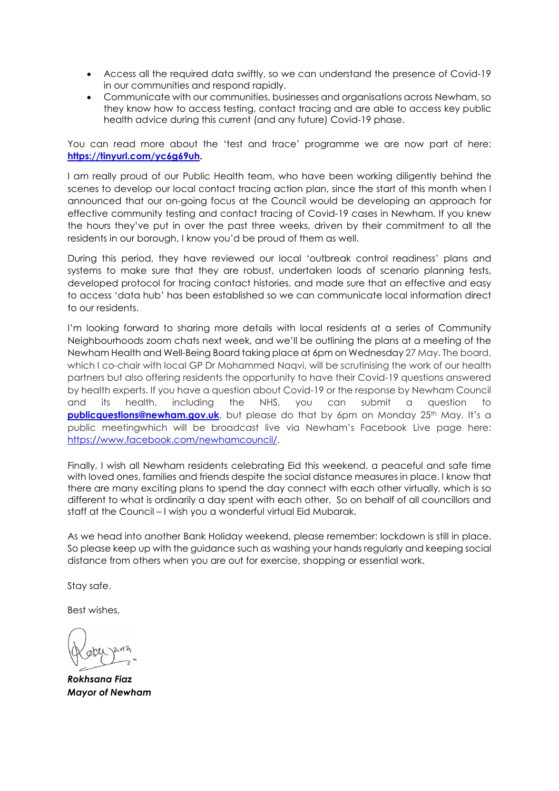- Access all the required data swiftly, so we can understand the presence of Covid-19 in our communities and respond rapidly.
- Communicate with our communities, businesses and organisations across Newham, so they know how to access testing, contact tracing and are able to access key public health advice during this current (and any future) Covid-19 phase.

You can read more about the 'test and trace' programme we are now part of here: **[https://tinyurl.com/yc6g69uh.](https://tinyurl.com/yc6g69uh)** 

I am really proud of our Public Health team, who have been working diligently behind the scenes to develop our local contact tracing action plan, since the start of this month when I announced that our on-going focus at the Council would be developing an approach for effective community testing and contact tracing of Covid-19 cases in Newham. If you knew the hours they've put in over the past three weeks, driven by their commitment to all the residents in our borough, I know you'd be proud of them as well.

During this period, they have reviewed our local 'outbreak control readiness' plans and systems to make sure that they are robust, undertaken loads of scenario planning tests, developed protocol for tracing contact histories, and made sure that an effective and easy to access 'data hub' has been established so we can communicate local information direct to our residents.

I'm looking forward to sharing more details with local residents at a series of Community Neighbourhoods zoom chats next week, and we'll be outlining the plans at a meeting of the Newham Health and Well-Being Board taking place at 6pm on Wednesday 27 May. The board, which I co-chair with local GP Dr Mohammed Naqvi, will be scrutinising the work of our health partners but also offering residents the opportunity to have their Covid-19 questions answered by health experts. If you have a question about Covid-19 or the response by Newham Council and its health, including the NHS, you can submit a question to **[publicquestions@newham.gov.uk](mailto:publicquestions@newham.gov.uk)**, but please do that by 6pm on Monday 25<sup>th</sup> May. It's a public meetingwhich will be broadcast live via Newham's Facebook Live page here: [https://www.facebook.com/newhamcouncil/.](https://www.facebook.com/newhamcouncil/)

Finally, I wish all Newham residents celebrating Eid this weekend, a peaceful and safe time with loved ones, families and friends despite the social distance measures in place. I know that there are many exciting plans to spend the day connect with each other virtually, which is so different to what is ordinarily a day spent with each other. So on behalf of all councillors and staff at the Council – I wish you a wonderful virtual Eid Mubarak.

As we head into another Bank Holiday weekend, please remember: lockdown is still in place. So please keep up with the guidance such as washing your hands regularly and keeping social distance from others when you are out for exercise, shopping or essential work.

Stay safe.

Best wishes,

*Rokhsana Fiaz Mayor of Newham*